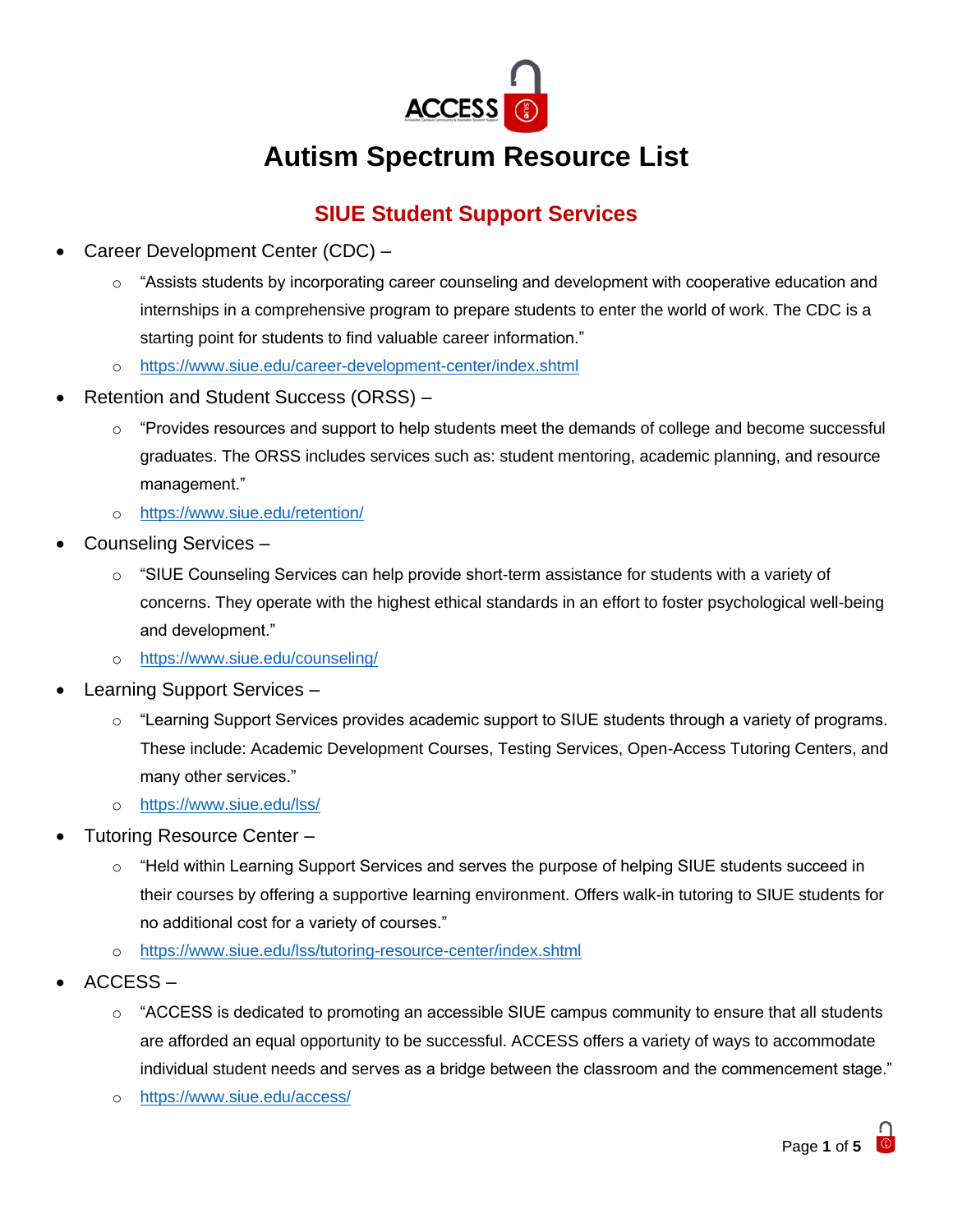

# **Autism Spectrum Resource List**

# **SIUE Student Support Services**

- Career Development Center (CDC)
	- o "Assists students by incorporating career counseling and development with cooperative education and internships in a comprehensive program to prepare students to enter the world of work. The CDC is a starting point for students to find valuable career information."
	- o <https://www.siue.edu/career-development-center/index.shtml>
- Retention and Student Success (ORSS)
	- o "Provides resources and support to help students meet the demands of college and become successful graduates. The ORSS includes services such as: student mentoring, academic planning, and resource management."
	- o <https://www.siue.edu/retention/>
- Counseling Services
	- o "SIUE Counseling Services can help provide short-term assistance for students with a variety of concerns. They operate with the highest ethical standards in an effort to foster psychological well-being and development."
	- o <https://www.siue.edu/counseling/>
- Learning Support Services
	- $\circ$  "Learning Support Services provides academic support to SIUE students through a variety of programs. These include: Academic Development Courses, Testing Services, Open-Access Tutoring Centers, and many other services."
	- o <https://www.siue.edu/lss/>
- Tutoring Resource Center
	- $\circ$  "Held within Learning Support Services and serves the purpose of helping SIUE students succeed in their courses by offering a supportive learning environment. Offers walk-in tutoring to SIUE students for no additional cost for a variety of courses."
	- o <https://www.siue.edu/lss/tutoring-resource-center/index.shtml>
- ACCESS
	- $\circ$  "ACCESS is dedicated to promoting an accessible SIUE campus community to ensure that all students are afforded an equal opportunity to be successful. ACCESS offers a variety of ways to accommodate individual student needs and serves as a bridge between the classroom and the commencement stage."
	- o <https://www.siue.edu/access/>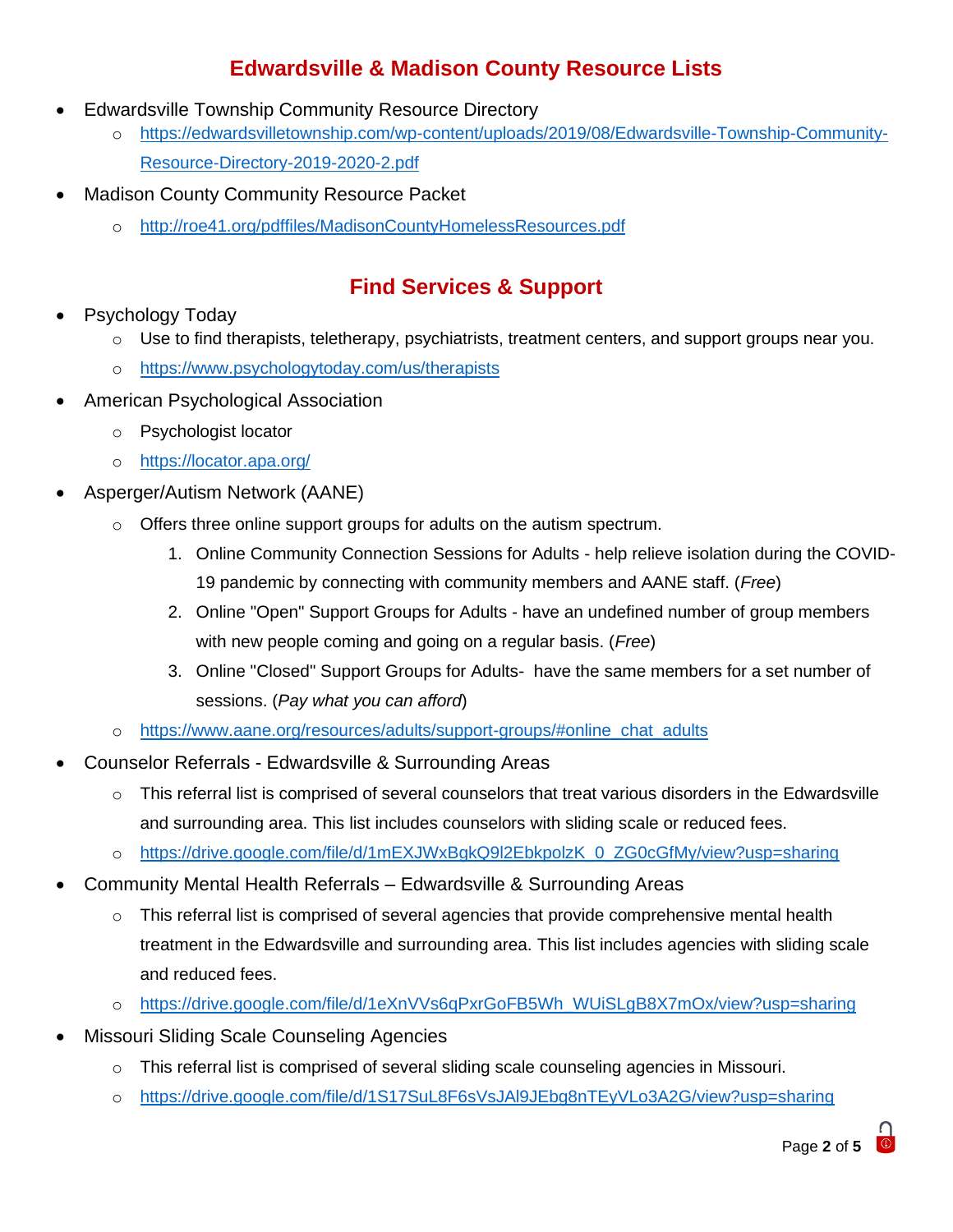## **Edwardsville & Madison County Resource Lists**

- Edwardsville Township Community Resource Directory
	- o [https://edwardsvilletownship.com/wp-content/uploads/2019/08/Edwardsville-Township-Community-](https://edwardsvilletownship.com/wp-content/uploads/2019/08/Edwardsville-Township-Community-Resource-Directory-2019-2020-2.pdf)[Resource-Directory-2019-2020-2.pdf](https://edwardsvilletownship.com/wp-content/uploads/2019/08/Edwardsville-Township-Community-Resource-Directory-2019-2020-2.pdf)
- Madison County Community Resource Packet
	- o <http://roe41.org/pdffiles/MadisonCountyHomelessResources.pdf>

### **Find Services & Support**

- Psychology Today
	- Use to find therapists, teletherapy, psychiatrists, treatment centers, and support groups near you.
	- o <https://www.psychologytoday.com/us/therapists>
- American Psychological Association
	- o Psychologist locator
	- o <https://locator.apa.org/>
- Asperger/Autism Network (AANE)
	- o Offers three online support groups for adults on the autism spectrum.
		- 1. Online Community Connection Sessions for Adults help relieve isolation during the COVID-19 pandemic by connecting with community members and AANE staff. (*Free*)
		- 2. Online "Open" Support Groups for Adults have an undefined number of group members with new people coming and going on a regular basis. (*Free*)
		- 3. Online "Closed" Support Groups for Adults- have the same members for a set number of sessions. (*Pay what you can afford*)
	- o [https://www.aane.org/resources/adults/support-groups/#online\\_chat\\_adults](https://www.aane.org/resources/adults/support-groups/#online_chat_adults)
- Counselor Referrals Edwardsville & Surrounding Areas
	- $\circ$  This referral list is comprised of several counselors that treat various disorders in the Edwardsville and surrounding area. This list includes counselors with sliding scale or reduced fees.
	- o [https://drive.google.com/file/d/1mEXJWxBgkQ9l2EbkpolzK\\_0\\_ZG0cGfMy/view?usp=sharing](https://drive.google.com/file/d/1mEXJWxBgkQ9l2EbkpolzK_0_ZG0cGfMy/view?usp=sharing)
- Community Mental Health Referrals Edwardsville & Surrounding Areas
	- $\circ$  This referral list is comprised of several agencies that provide comprehensive mental health treatment in the Edwardsville and surrounding area. This list includes agencies with sliding scale and reduced fees.
	- o [https://drive.google.com/file/d/1eXnVVs6qPxrGoFB5Wh\\_WUiSLgB8X7mOx/view?usp=sharing](https://drive.google.com/file/d/1eXnVVs6qPxrGoFB5Wh_WUiSLgB8X7mOx/view?usp=sharing)
- Missouri Sliding Scale Counseling Agencies
	- $\circ$  This referral list is comprised of several sliding scale counseling agencies in Missouri.
	- o <https://drive.google.com/file/d/1S17SuL8F6sVsJAl9JEbg8nTEyVLo3A2G/view?usp=sharing>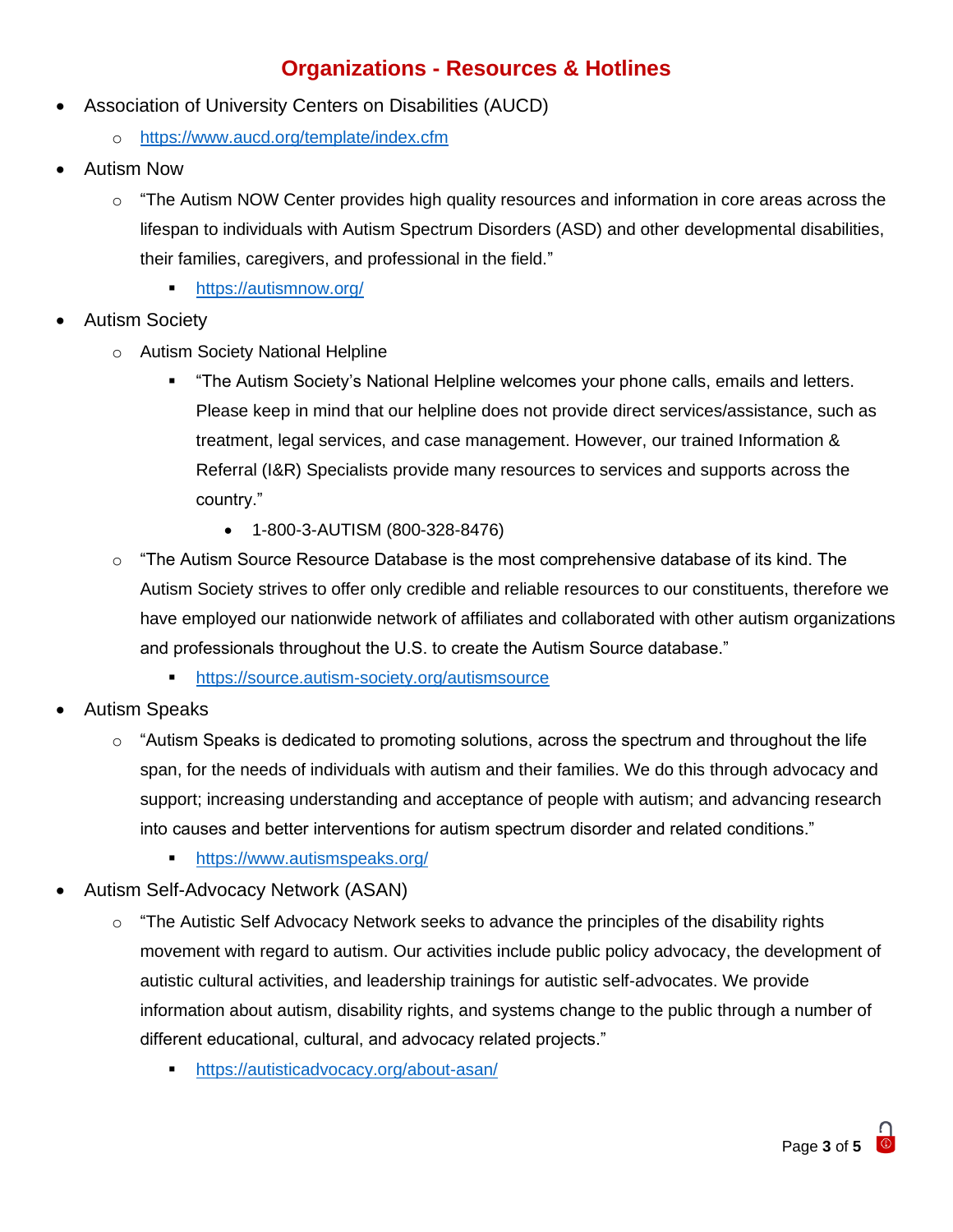#### **Organizations - Resources & Hotlines**

- Association of University Centers on Disabilities (AUCD)
	- o <https://www.aucd.org/template/index.cfm>
- Autism Now
	- $\circ$  "The Autism NOW Center provides high quality resources and information in core areas across the lifespan to individuals with Autism Spectrum Disorders (ASD) and other developmental disabilities, their families, caregivers, and professional in the field."
		- <https://autismnow.org/>
- Autism Society
	- o Autism Society National Helpline
		- "The Autism Society's National Helpline welcomes your phone calls, emails and letters. Please keep in mind that our helpline does not provide direct services/assistance, such as treatment, legal services, and case management. However, our trained Information & Referral (I&R) Specialists provide many resources to services and supports across the country."
			- 1-800-3-AUTISM (800-328-8476)
	- $\circ$  "The Autism Source Resource Database is the most comprehensive database of its kind. The Autism Society strives to offer only credible and reliable resources to our constituents, therefore we have employed our nationwide network of affiliates and collaborated with other autism organizations and professionals throughout the U.S. to create the Autism Source database."
		- **•** <https://source.autism-society.org/autismsource>
- Autism Speaks
	- $\circ$  "Autism Speaks is dedicated to promoting solutions, across the spectrum and throughout the life span, for the needs of individuals with autism and their families. We do this through advocacy and support; increasing understanding and acceptance of people with autism; and advancing research into causes and better interventions for autism spectrum disorder and related conditions."
		- **•** <https://www.autismspeaks.org/>
- Autism Self-Advocacy Network (ASAN)
	- $\circ$  "The Autistic Self Advocacy Network seeks to advance the principles of the disability rights movement with regard to autism. Our activities include public policy advocacy, the development of autistic cultural activities, and leadership trainings for autistic self-advocates. We provide information about autism, disability rights, and systems change to the public through a number of different educational, cultural, and advocacy related projects."
		- <https://autisticadvocacy.org/about-asan/>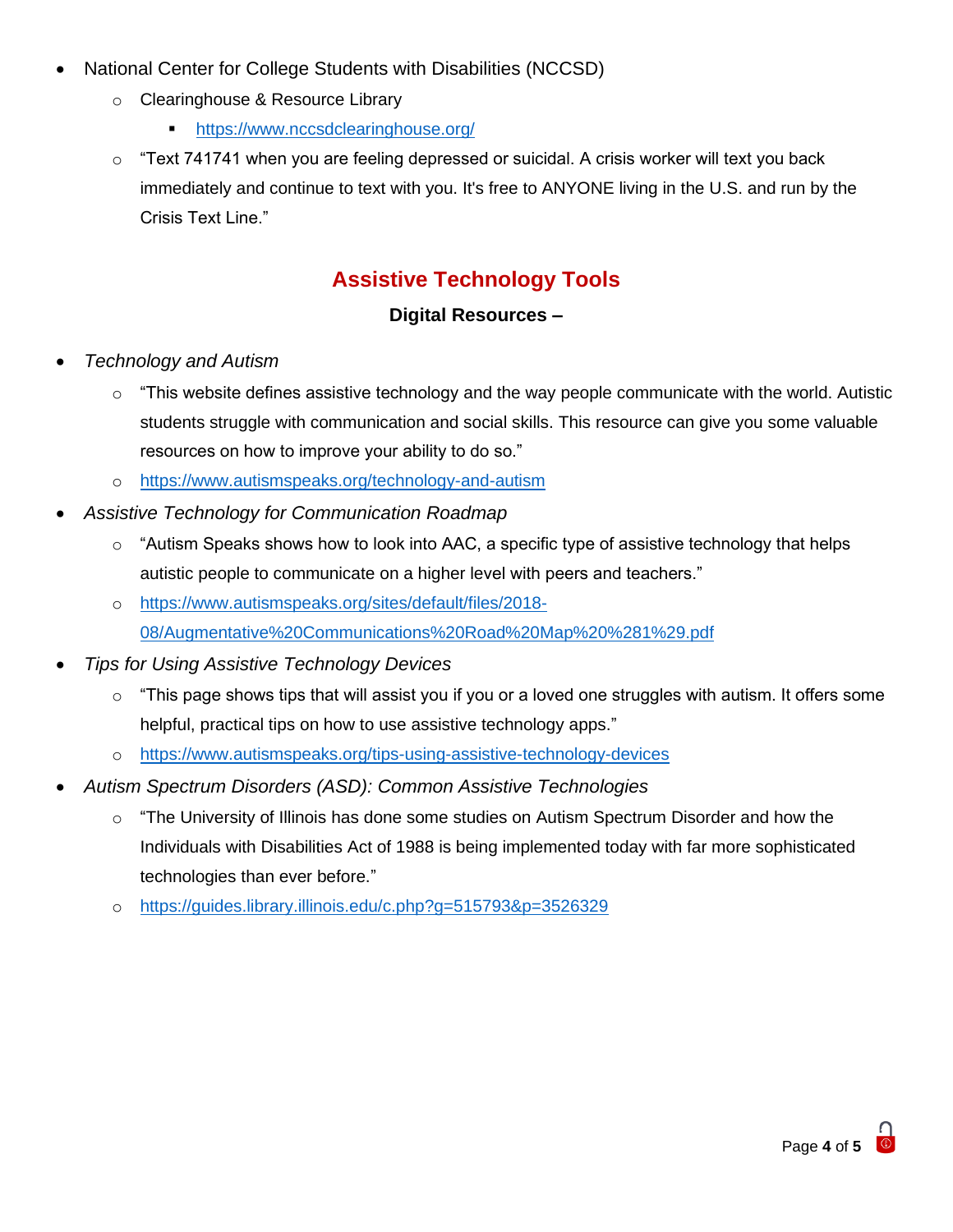- National Center for College Students with Disabilities (NCCSD)
	- o Clearinghouse & Resource Library
		- **•** https://www.nccsdclearinghouse.org/
	- $\circ$  "Text 741741 when you are feeling depressed or suicidal. A crisis worker will text you back immediately and continue to text with you. It's free to ANYONE living in the U.S. and run by the Crisis Text Line."

#### **Assistive Technology Tools**

#### **Digital Resources –**

- *Technology and Autism* 
	- $\circ$  "This website defines assistive technology and the way people communicate with the world. Autistic students struggle with communication and social skills. This resource can give you some valuable resources on how to improve your ability to do so."
	- o <https://www.autismspeaks.org/technology-and-autism>
- *Assistive Technology for Communication Roadmap* 
	- $\circ$  "Autism Speaks shows how to look into AAC, a specific type of assistive technology that helps autistic people to communicate on a higher level with peers and teachers."
	- o [https://www.autismspeaks.org/sites/default/files/2018-](https://www.autismspeaks.org/sites/default/files/2018-08/Augmentative%20Communications%20Road%20Map%20%281%29.pdf) [08/Augmentative%20Communications%20Road%20Map%20%281%29.pdf](https://www.autismspeaks.org/sites/default/files/2018-08/Augmentative%20Communications%20Road%20Map%20%281%29.pdf)
- *Tips for Using Assistive Technology Devices* 
	- $\circ$  "This page shows tips that will assist you if you or a loved one struggles with autism. It offers some helpful, practical tips on how to use assistive technology apps."
	- o <https://www.autismspeaks.org/tips-using-assistive-technology-devices>
- *Autism Spectrum Disorders (ASD): Common Assistive Technologies* 
	- $\circ$  "The University of Illinois has done some studies on Autism Spectrum Disorder and how the Individuals with Disabilities Act of 1988 is being implemented today with far more sophisticated technologies than ever before."
	- o <https://guides.library.illinois.edu/c.php?g=515793&p=3526329>